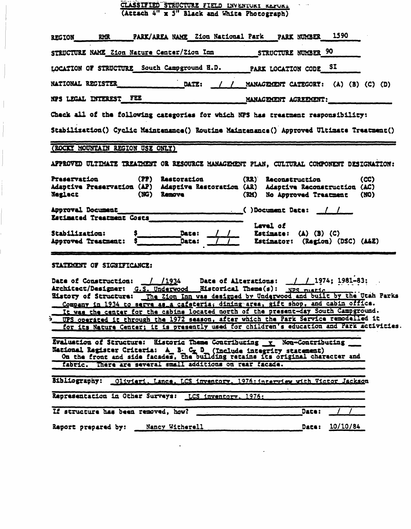| CLASSIFIED STRUCTURE FIELD INVENTURE REFURE |  |  |  |  |
|---------------------------------------------|--|--|--|--|
| (Attach 4" x 5" Black and White Photograph) |  |  |  |  |

| REGION RMR PARK/AREA NAME Zion National Park PARK NUMBER 1590                                                                                                                                                                                  |                                                     |
|------------------------------------------------------------------------------------------------------------------------------------------------------------------------------------------------------------------------------------------------|-----------------------------------------------------|
|                                                                                                                                                                                                                                                |                                                     |
| LOCATION OF STRUCTURE South Campground H.D. PARK LOCATION CODE SI                                                                                                                                                                              |                                                     |
| NATIONAL REGISTER<br>DATE: / / MANAGEMENT CATEGORY: (A) (B) (C) (D)                                                                                                                                                                            |                                                     |
| NPS LEGAL INTEREST_FEE MANAGEMENT AGREEMENT:                                                                                                                                                                                                   |                                                     |
| Check all of the following categories for which NPS has treatment responsibility:                                                                                                                                                              |                                                     |
| Stabilization() Cyclic Maintenance() Routine Maintenance() Approved Ultimate Treatment()                                                                                                                                                       |                                                     |
| (ROCKY MOUNTAIN REGION USE ONLY)                                                                                                                                                                                                               |                                                     |
| APPROVED ULTIMATE TREATMENT OR RESOURCE MANAGEMENT PLAN, CULTURAL COMPONENT DESIGNATION:                                                                                                                                                       |                                                     |
| Preservation (PP) Restoration (RR) Reconstruction<br>Adaptive Preservation (AP) Adaptive Restoration (AR) Adaptive Reconstruction (AC)<br>Neglect                                                                                              | (CC)<br>(NG) Remove (RM) No Approved Treatment (NO) |
|                                                                                                                                                                                                                                                |                                                     |
| Estimated Treatment Costs                                                                                                                                                                                                                      | Level of                                            |
|                                                                                                                                                                                                                                                |                                                     |
| STATEMENT OF SIGNIFICANCE:                                                                                                                                                                                                                     |                                                     |
|                                                                                                                                                                                                                                                |                                                     |
| Date of Construction: / /1934 Date of Alterations: / / 1974; 1981-83;<br>Architect/Designer: <u>G.S. Underwood</u> Eistorical Theme(s): <u>NPS music</u><br>Eistory of Structure: The Zion Inn was designed by Underwood and built by the Utah |                                                     |
| Company in 1934 to serve as a cafeteria, dining area, gift shop, and cabin office.<br>It was the center for the cabins located north of the present-day South Campground.                                                                      |                                                     |
| > UPS operated it through the 1972 season, after which the Park Service remodelled it                                                                                                                                                          |                                                     |
| for its Nature Center: it is presently used for children's education and Park activities.                                                                                                                                                      |                                                     |
| Evaluation of Structure: Historic Theme Contributing x Non-Contributing<br>National Register Criteria: A B. C D (Include integrity statement)<br>On the front and side facades, the building retains its original character and                |                                                     |
| fabric. There are several small additions on rear facade.                                                                                                                                                                                      |                                                     |
| Bibliography: 01ivieri. Lance. LCS inventory. 1976: interview with Victor Jackson                                                                                                                                                              |                                                     |
| Representation in Other Surveys: LCS inventory, 1976:                                                                                                                                                                                          |                                                     |
| If structure has been removed, how?                                                                                                                                                                                                            | Date:                                               |
| Report prepared by: Mancy Witherell Manchester                                                                                                                                                                                                 | Date: 10/10/84                                      |

 $\mathcal{L}^{\text{max}}_{\text{max}}$  .

 $\mathcal{L}^{\text{max}}_{\text{max}}$  , where  $\mathcal{L}^{\text{max}}_{\text{max}}$